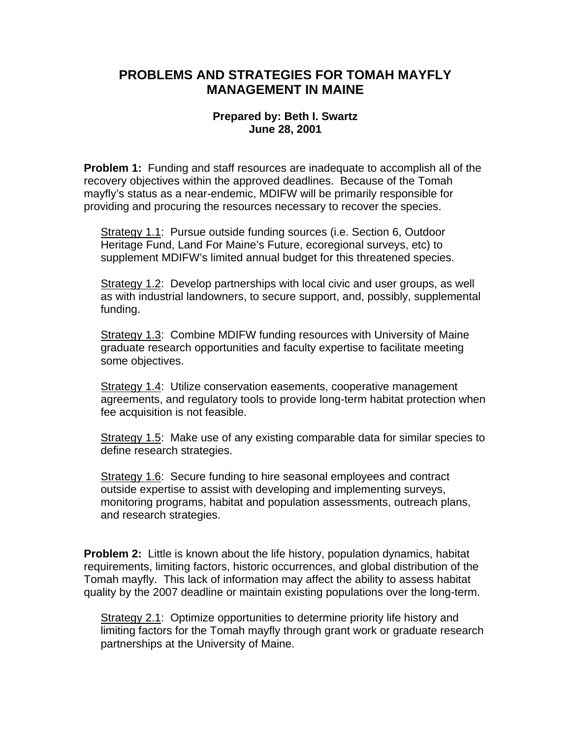## **PROBLEMS AND STRATEGIES FOR TOMAH MAYFLY MANAGEMENT IN MAINE**

## **Prepared by: Beth I. Swartz June 28, 2001**

**Problem 1:** Funding and staff resources are inadequate to accomplish all of the recovery objectives within the approved deadlines. Because of the Tomah mayfly's status as a near-endemic, MDIFW will be primarily responsible for providing and procuring the resources necessary to recover the species.

Strategy 1.1: Pursue outside funding sources (i.e. Section 6, Outdoor Heritage Fund, Land For Maine's Future, ecoregional surveys, etc) to supplement MDIFW's limited annual budget for this threatened species.

Strategy 1.2: Develop partnerships with local civic and user groups, as well as with industrial landowners, to secure support, and, possibly, supplemental funding.

Strategy 1.3: Combine MDIFW funding resources with University of Maine graduate research opportunities and faculty expertise to facilitate meeting some objectives.

Strategy 1.4: Utilize conservation easements, cooperative management agreements, and regulatory tools to provide long-term habitat protection when fee acquisition is not feasible.

Strategy 1.5: Make use of any existing comparable data for similar species to define research strategies.

Strategy 1.6: Secure funding to hire seasonal employees and contract outside expertise to assist with developing and implementing surveys, monitoring programs, habitat and population assessments, outreach plans, and research strategies.

**Problem 2:** Little is known about the life history, population dynamics, habitat requirements, limiting factors, historic occurrences, and global distribution of the Tomah mayfly. This lack of information may affect the ability to assess habitat quality by the 2007 deadline or maintain existing populations over the long-term.

Strategy 2.1: Optimize opportunities to determine priority life history and limiting factors for the Tomah mayfly through grant work or graduate research partnerships at the University of Maine.